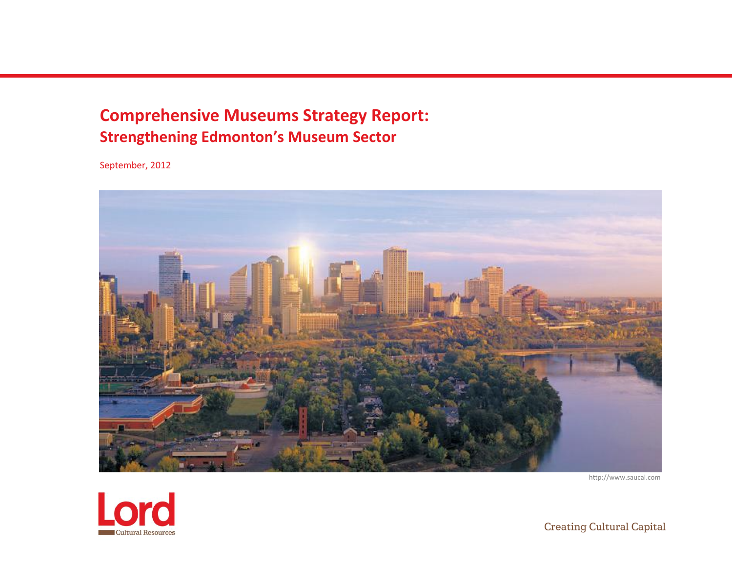# **Comprehensive Museums Strategy Report: Strengthening Edmonton's Museum Sector**

September, 2012



http://www.saucal.com



**Creating Cultural Capital**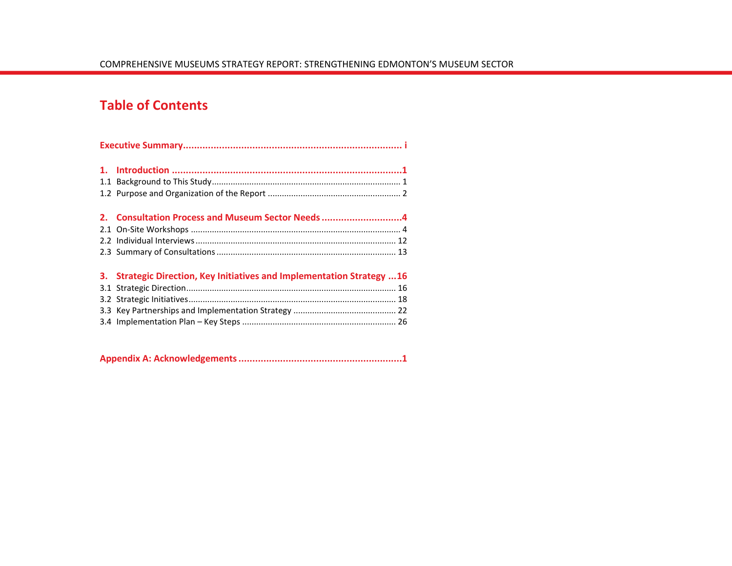## **Table of Contents**

| 2. Consultation Process and Museum Sector Needs 4                       |  |
|-------------------------------------------------------------------------|--|
|                                                                         |  |
|                                                                         |  |
|                                                                         |  |
| 3. Strategic Direction, Key Initiatives and Implementation Strategy  16 |  |
|                                                                         |  |
|                                                                         |  |
|                                                                         |  |
|                                                                         |  |

|--|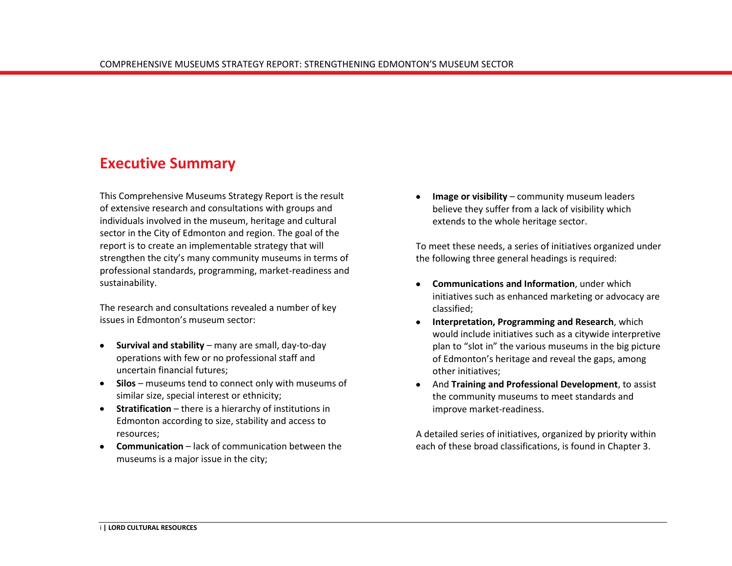## <span id="page-2-0"></span>**Executive Summary**

This Comprehensive Museums Strategy Report is the result of extensive research and consultations with groups and individuals involved in the museum, heritage and cultural sector in the City of Edmonton and region. The goal of the report is to create an implementable strategy that will strengthen the city's many community museums in terms of professional standards, programming, market-readiness and sustainability.

The research and consultations revealed a number of key issues in Edmonton's museum sector:

- **Survival and stability** many are small, day-to-day  $\bullet$ operations with few or no professional staff and uncertain financial futures;
- **Silos** museums tend to connect only with museums of similar size, special interest or ethnicity;
- **Stratification**  there is a hierarchy of institutions in Edmonton according to size, stability and access to resources;
- **Communication**  lack of communication between the museums is a major issue in the city;

**Image or visibility** – community museum leaders believe they suffer from a lack of visibility which extends to the whole heritage sector.

To meet these needs, a series of initiatives organized under the following three general headings is required:

- **Communications and Information**, under which initiatives such as enhanced marketing or advocacy are classified;
- **Interpretation, Programming and Research**, which would include initiatives such as a citywide interpretive plan to "slot in" the various museums in the big picture of Edmonton's heritage and reveal the gaps, among other initiatives;
- And **Training and Professional Development**, to assist the community museums to meet standards and improve market-readiness.

A detailed series of initiatives, organized by priority within each of these broad classifications, is found in Chapter 3.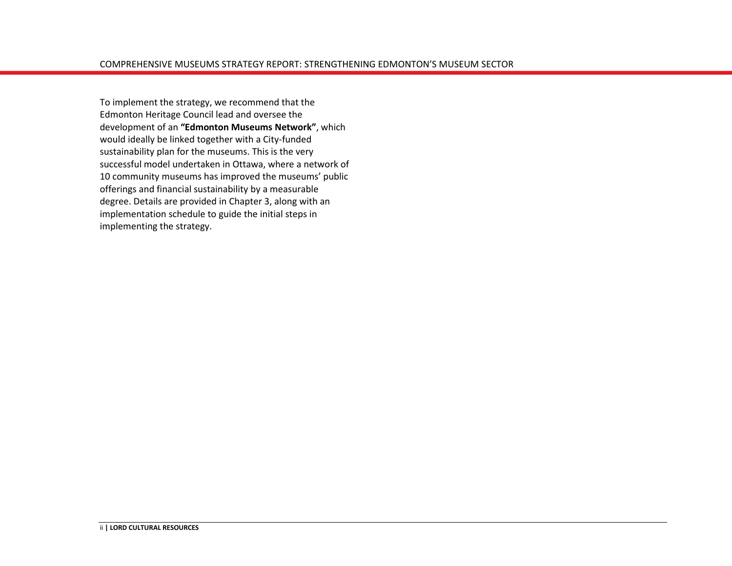To implement the strategy, we recommend that the Edmonton Heritage Council lead and oversee the development of an **"Edmonton Museums Network"**, which would ideally be linked together with a City-funded sustainability plan for the museums. This is the very successful model undertaken in Ottawa, where a network of 10 community museums has improved the museums' public offerings and financial sustainability by a measurable degree. Details are provided in Chapter 3, along with an implementation schedule to guide the initial steps in implementing the strategy.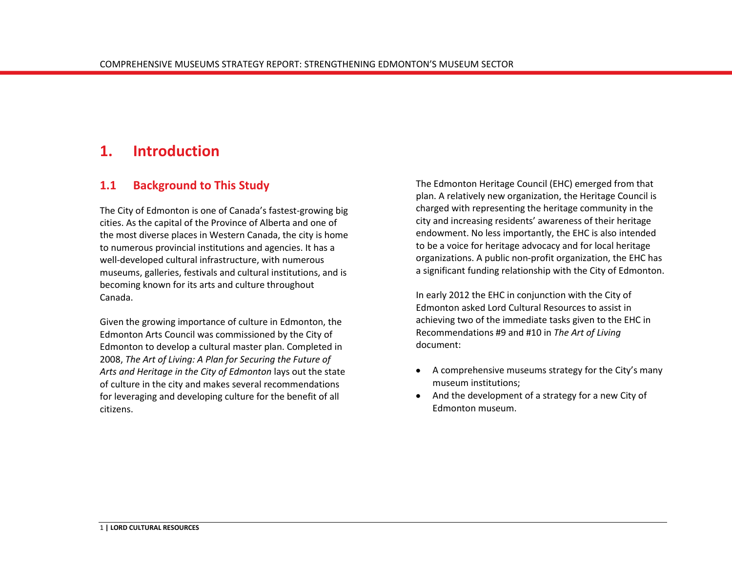## <span id="page-4-0"></span>**1. Introduction**

### <span id="page-4-1"></span>**1.1 Background to This Study**

The City of Edmonton is one of Canada's fastest-growing big cities. As the capital of the Province of Alberta and one of the most diverse places in Western Canada, the city is home to numerous provincial institutions and agencies. It has a well-developed cultural infrastructure, with numerous museums, galleries, festivals and cultural institutions, and is becoming known for its arts and culture throughout Canada.

Given the growing importance of culture in Edmonton, the Edmonton Arts Council was commissioned by the City of Edmonton to develop a cultural master plan. Completed in 2008, *The Art of Living: A Plan for Securing the Future of Arts and Heritage in the City of Edmonton* lays out the state of culture in the city and makes several recommendations for leveraging and developing culture for the benefit of all citizens.

The Edmonton Heritage Council (EHC) emerged from that plan. A relatively new organization, the Heritage Council is charged with representing the heritage community in the city and increasing residents' awareness of their heritage endowment. No less importantly, the EHC is also intended to be a voice for heritage advocacy and for local heritage organizations. A public non-profit organization, the EHC has a significant funding relationship with the City of Edmonton.

In early 2012 the EHC in conjunction with the City of Edmonton asked Lord Cultural Resources to assist in achieving two of the immediate tasks given to the EHC in Recommendations #9 and #10 in *The Art of Living* document:

- A comprehensive museums strategy for the City's many museum institutions;
- And the development of a strategy for a new City of Edmonton museum.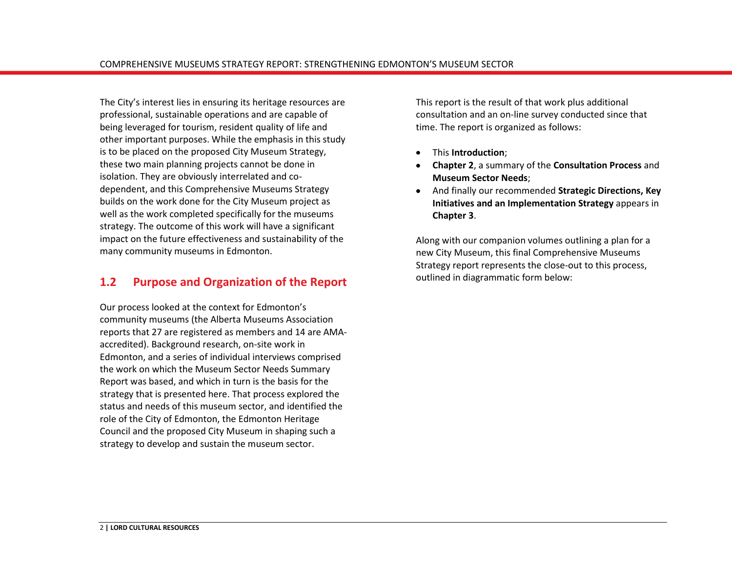The City's interest lies in ensuring its heritage resources are professional, sustainable operations and are capable of being leveraged for tourism, resident quality of life and other important purposes. While the emphasis in this study is to be placed on the proposed City Museum Strategy, these two main planning projects cannot be done in isolation. They are obviously interrelated and codependent, and this Comprehensive Museums Strategy builds on the work done for the City Museum project as well as the work completed specifically for the museums strategy. The outcome of this work will have a significant impact on the future effectiveness and sustainability of the many community museums in Edmonton.

### <span id="page-5-0"></span>**1.2 Purpose and Organization of the Report**

Our process looked at the context for Edmonton's community museums (the Alberta Museums Association reports that 27 are registered as members and 14 are AMAaccredited). Background research, on-site work in Edmonton, and a series of individual interviews comprised the work on which the Museum Sector Needs Summary Report was based, and which in turn is the basis for the strategy that is presented here. That process explored the status and needs of this museum sector, and identified the role of the City of Edmonton, the Edmonton Heritage Council and the proposed City Museum in shaping such a strategy to develop and sustain the museum sector.

This report is the result of that work plus additional consultation and an on-line survey conducted since that time. The report is organized as follows:

- This **Introduction**;
- **Chapter 2**, a summary of the **Consultation Process** and **Museum Sector Needs**;
- And finally our recommended **Strategic Directions, Key**   $\bullet$ **Initiatives and an Implementation Strategy** appears in **Chapter 3**.

Along with our companion volumes outlining a plan for a new City Museum, this final Comprehensive Museums Strategy report represents the close-out to this process, outlined in diagrammatic form below: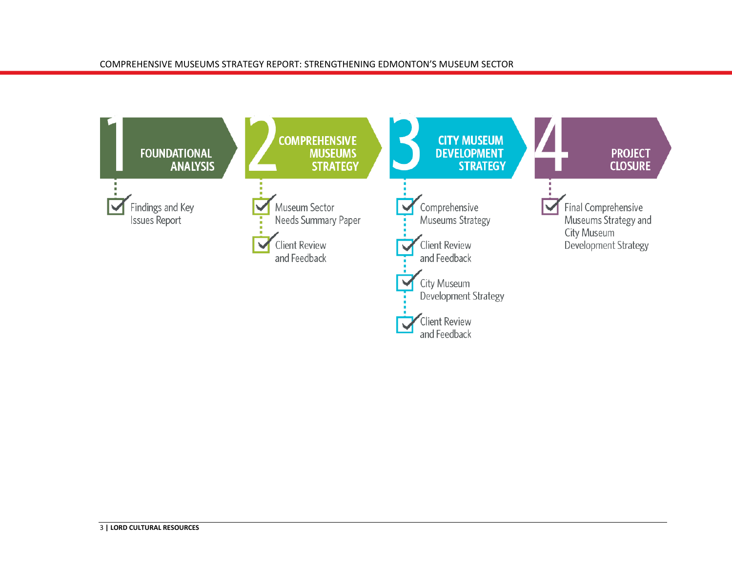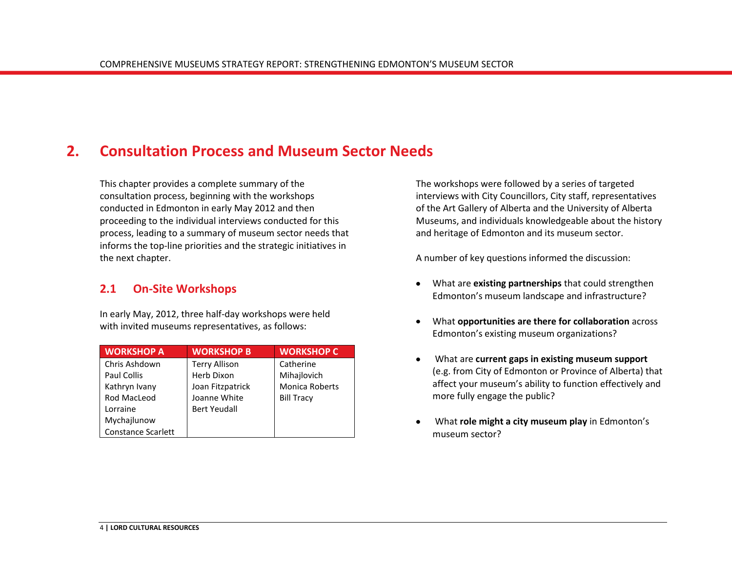## <span id="page-7-0"></span>**2. Consultation Process and Museum Sector Needs**

This chapter provides a complete summary of the consultation process, beginning with the workshops conducted in Edmonton in early May 2012 and then proceeding to the individual interviews conducted for this process, leading to a summary of museum sector needs that informs the top-line priorities and the strategic initiatives in the next chapter.

## <span id="page-7-1"></span>**2.1 On-Site Workshops**

In early May, 2012, three half-day workshops were held with invited museums representatives, as follows:

| <b>WORKSHOP A</b>         | <b>WORKSHOP B</b>    | <b>WORKSHOP C</b>     |
|---------------------------|----------------------|-----------------------|
| Chris Ashdown             | <b>Terry Allison</b> | Catherine             |
| Paul Collis               | Herb Dixon           | Mihajlovich           |
| Kathryn Ivany             | Joan Fitzpatrick     | <b>Monica Roberts</b> |
| Rod MacLeod               | Joanne White         | <b>Bill Tracy</b>     |
| Lorraine                  | <b>Bert Yeudall</b>  |                       |
| Mychajlunow               |                      |                       |
| <b>Constance Scarlett</b> |                      |                       |

The workshops were followed by a series of targeted interviews with City Councillors, City staff, representatives of the Art Gallery of Alberta and the University of Alberta Museums, and individuals knowledgeable about the history and heritage of Edmonton and its museum sector.

A number of key questions informed the discussion:

- What are **existing partnerships** that could strengthen Edmonton's museum landscape and infrastructure?
- What **opportunities are there for collaboration** across Edmonton's existing museum organizations?
- What are **current gaps in existing museum support**  $\bullet$ (e.g. from City of Edmonton or Province of Alberta) that affect your museum's ability to function effectively and more fully engage the public?
- What **role might a city museum play** in Edmonton's museum sector?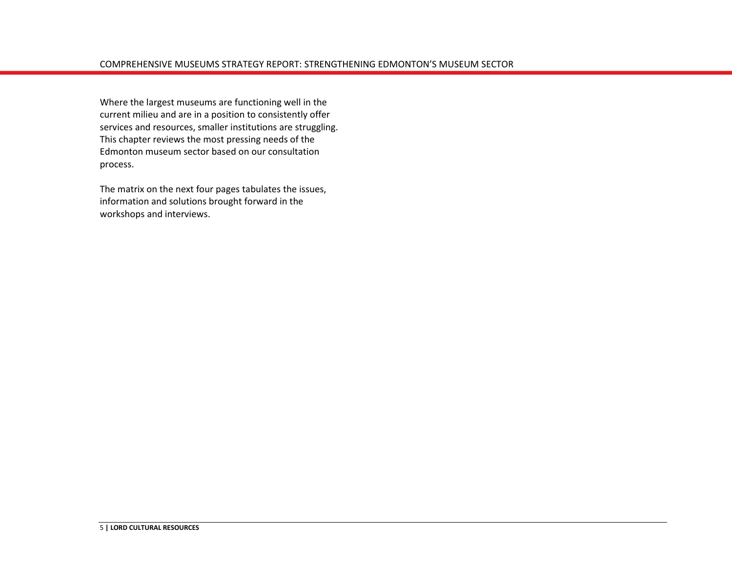Where the largest museums are functioning well in the current milieu and are in a position to consistently offer services and resources, smaller institutions are struggling. This chapter reviews the most pressing needs of the Edmonton museum sector based on our consultation process.

The matrix on the next four pages tabulates the issues, information and solutions brought forward in the workshops and interviews.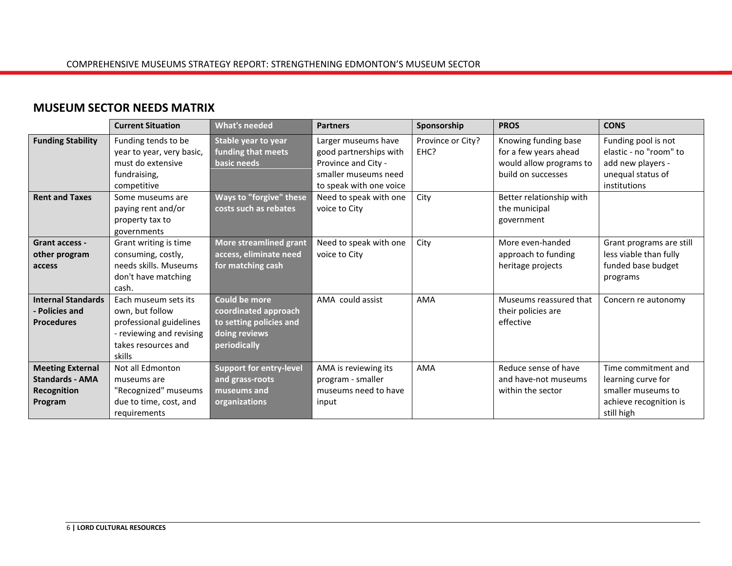## **MUSEUM SECTOR NEEDS MATRIX**

|                                                                             | <b>Current Situation</b>                                                                                                        | <b>What's needed</b>                                                                              | <b>Partners</b>                                                                                                         | Sponsorship               | <b>PROS</b>                                                                                    | <b>CONS</b>                                                                                             |
|-----------------------------------------------------------------------------|---------------------------------------------------------------------------------------------------------------------------------|---------------------------------------------------------------------------------------------------|-------------------------------------------------------------------------------------------------------------------------|---------------------------|------------------------------------------------------------------------------------------------|---------------------------------------------------------------------------------------------------------|
| <b>Funding Stability</b>                                                    | Funding tends to be<br>year to year, very basic,<br>must do extensive<br>fundraising,<br>competitive                            | Stable year to year<br>funding that meets<br>basic needs                                          | Larger museums have<br>good partnerships with<br>Province and City -<br>smaller museums need<br>to speak with one voice | Province or City?<br>EHC? | Knowing funding base<br>for a few years ahead<br>would allow programs to<br>build on successes | Funding pool is not<br>elastic - no "room" to<br>add new players -<br>unequal status of<br>institutions |
| <b>Rent and Taxes</b>                                                       | Some museums are<br>paying rent and/or<br>property tax to<br>governments                                                        | Ways to "forgive" these<br>costs such as rebates                                                  | Need to speak with one<br>voice to City                                                                                 | City                      | Better relationship with<br>the municipal<br>government                                        |                                                                                                         |
| Grant access -<br>other program<br>access                                   | Grant writing is time<br>consuming, costly,<br>needs skills. Museums<br>don't have matching<br>cash.                            | <b>More streamlined grant</b><br>access, eliminate need<br>for matching cash                      | Need to speak with one<br>voice to City                                                                                 | City                      | More even-handed<br>approach to funding<br>heritage projects                                   | Grant programs are still<br>less viable than fully<br>funded base budget<br>programs                    |
| <b>Internal Standards</b><br>- Policies and<br><b>Procedures</b>            | Each museum sets its<br>own, but follow<br>professional guidelines<br>- reviewing and revising<br>takes resources and<br>skills | Could be more<br>coordinated approach<br>to setting policies and<br>doing reviews<br>periodically | AMA could assist                                                                                                        | AMA                       | Museums reassured that<br>their policies are<br>effective                                      | Concern re autonomy                                                                                     |
| <b>Meeting External</b><br><b>Standards - AMA</b><br>Recognition<br>Program | Not all Edmonton<br>museums are<br>"Recognized" museums<br>due to time, cost, and<br>requirements                               | <b>Support for entry-level</b><br>and grass-roots<br>museums and<br>organizations                 | AMA is reviewing its<br>program - smaller<br>museums need to have<br>input                                              | AMA                       | Reduce sense of have<br>and have-not museums<br>within the sector                              | Time commitment and<br>learning curve for<br>smaller museums to<br>achieve recognition is<br>still high |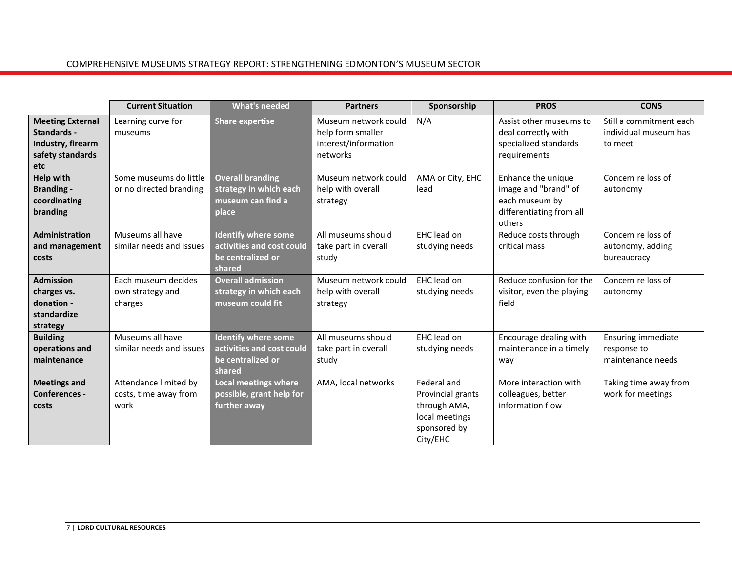|                                                                                        | <b>Current Situation</b>                               | <b>What's needed</b>                                                                   | <b>Partners</b>                                                               | Sponsorship                                                                                    | <b>PROS</b>                                                                                        | <b>CONS</b>                                                 |
|----------------------------------------------------------------------------------------|--------------------------------------------------------|----------------------------------------------------------------------------------------|-------------------------------------------------------------------------------|------------------------------------------------------------------------------------------------|----------------------------------------------------------------------------------------------------|-------------------------------------------------------------|
| <b>Meeting External</b><br>Standards -<br>Industry, firearm<br>safety standards<br>etc | Learning curve for<br>museums                          | <b>Share expertise</b>                                                                 | Museum network could<br>help form smaller<br>interest/information<br>networks | N/A                                                                                            | Assist other museums to<br>deal correctly with<br>specialized standards<br>requirements            | Still a commitment each<br>individual museum has<br>to meet |
| <b>Help with</b><br><b>Branding -</b><br>coordinating<br>branding                      | Some museums do little<br>or no directed branding      | <b>Overall branding</b><br>strategy in which each<br>museum can find a<br>place        | Museum network could<br>help with overall<br>strategy                         | AMA or City, EHC<br>lead                                                                       | Enhance the unique<br>image and "brand" of<br>each museum by<br>differentiating from all<br>others | Concern re loss of<br>autonomy                              |
| Administration<br>and management<br>costs                                              | Museums all have<br>similar needs and issues           | <b>Identify where some</b><br>activities and cost could<br>be centralized or<br>shared | All museums should<br>take part in overall<br>study                           | EHC lead on<br>studying needs                                                                  | Reduce costs through<br>critical mass                                                              | Concern re loss of<br>autonomy, adding<br>bureaucracy       |
| <b>Admission</b><br>charges vs.<br>donation -<br>standardize<br>strategy               | Each museum decides<br>own strategy and<br>charges     | <b>Overall admission</b><br>strategy in which each<br>museum could fit                 | Museum network could<br>help with overall<br>strategy                         | EHC lead on<br>studying needs                                                                  | Reduce confusion for the<br>visitor, even the playing<br>field                                     | Concern re loss of<br>autonomy                              |
| <b>Building</b><br>operations and<br>maintenance                                       | Museums all have<br>similar needs and issues           | <b>Identify where some</b><br>activities and cost could<br>be centralized or<br>shared | All museums should<br>take part in overall<br>study                           | EHC lead on<br>studying needs                                                                  | Encourage dealing with<br>maintenance in a timely<br>way                                           | Ensuring immediate<br>response to<br>maintenance needs      |
| <b>Meetings and</b><br><b>Conferences -</b><br>costs                                   | Attendance limited by<br>costs, time away from<br>work | <b>Local meetings where</b><br>possible, grant help for<br>further away                | AMA, local networks                                                           | Federal and<br>Provincial grants<br>through AMA,<br>local meetings<br>sponsored by<br>City/EHC | More interaction with<br>colleagues, better<br>information flow                                    | Taking time away from<br>work for meetings                  |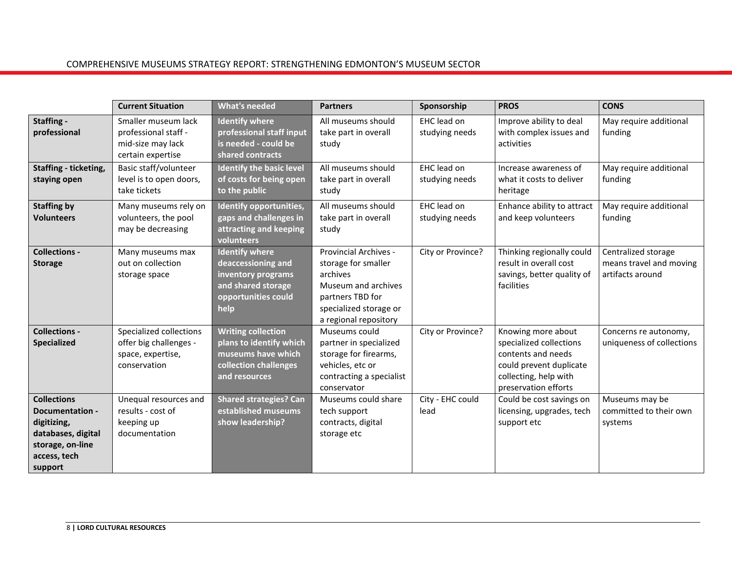|                                                                                                                                  | <b>Current Situation</b>                                                               | <b>What's needed</b>                                                                                                   | <b>Partners</b>                                                                                                                                        | Sponsorship                   | <b>PROS</b>                                                                                                                                     | <b>CONS</b>                                                        |
|----------------------------------------------------------------------------------------------------------------------------------|----------------------------------------------------------------------------------------|------------------------------------------------------------------------------------------------------------------------|--------------------------------------------------------------------------------------------------------------------------------------------------------|-------------------------------|-------------------------------------------------------------------------------------------------------------------------------------------------|--------------------------------------------------------------------|
| Staffing -<br>professional                                                                                                       | Smaller museum lack<br>professional staff -<br>mid-size may lack<br>certain expertise  | <b>Identify where</b><br>professional staff input<br>is needed - could be<br>shared contracts                          | All museums should<br>take part in overall<br>study                                                                                                    | EHC lead on<br>studying needs | Improve ability to deal<br>with complex issues and<br>activities                                                                                | May require additional<br>funding                                  |
| Staffing - ticketing,<br>staying open                                                                                            | Basic staff/volunteer<br>level is to open doors,<br>take tickets                       | <b>Identify the basic level</b><br>of costs for being open<br>to the public                                            | All museums should<br>take part in overall<br>study                                                                                                    | EHC lead on<br>studying needs | Increase awareness of<br>what it costs to deliver<br>heritage                                                                                   | May require additional<br>funding                                  |
| <b>Staffing by</b><br><b>Volunteers</b>                                                                                          | Many museums rely on<br>volunteers, the pool<br>may be decreasing                      | Identify opportunities,<br>gaps and challenges in<br>attracting and keeping<br>volunteers                              | All museums should<br>take part in overall<br>study                                                                                                    | EHC lead on<br>studying needs | Enhance ability to attract<br>and keep volunteers                                                                                               | May require additional<br>funding                                  |
| <b>Collections -</b><br><b>Storage</b>                                                                                           | Many museums max<br>out on collection<br>storage space                                 | <b>Identify where</b><br>deaccessioning and<br>inventory programs<br>and shared storage<br>opportunities could<br>help | Provincial Archives -<br>storage for smaller<br>archives<br>Museum and archives<br>partners TBD for<br>specialized storage or<br>a regional repository | City or Province?             | Thinking regionally could<br>result in overall cost<br>savings, better quality of<br>facilities                                                 | Centralized storage<br>means travel and moving<br>artifacts around |
| <b>Collections -</b><br>Specialized                                                                                              | Specialized collections<br>offer big challenges -<br>space, expertise,<br>conservation | <b>Writing collection</b><br>plans to identify which<br>museums have which<br>collection challenges<br>and resources   | Museums could<br>partner in specialized<br>storage for firearms,<br>vehicles, etc or<br>contracting a specialist<br>conservator                        | City or Province?             | Knowing more about<br>specialized collections<br>contents and needs<br>could prevent duplicate<br>collecting, help with<br>preservation efforts | Concerns re autonomy,<br>uniqueness of collections                 |
| <b>Collections</b><br><b>Documentation -</b><br>digitizing,<br>databases, digital<br>storage, on-line<br>access, tech<br>support | Unequal resources and<br>results - cost of<br>keeping up<br>documentation              | <b>Shared strategies? Can</b><br>established museums<br>show leadership?                                               | Museums could share<br>tech support<br>contracts, digital<br>storage etc                                                                               | City - EHC could<br>lead      | Could be cost savings on<br>licensing, upgrades, tech<br>support etc                                                                            | Museums may be<br>committed to their own<br>systems                |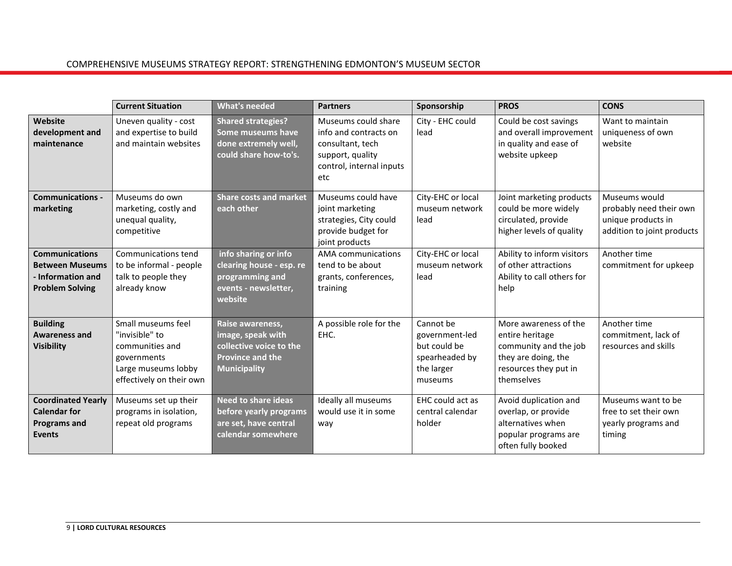|                                                                                                | <b>Current Situation</b>                                                                                                  | <b>What's needed</b>                                                                                               | <b>Partners</b>                                                                                                         | Sponsorship                                                                            | <b>PROS</b>                                                                                                                     | <b>CONS</b>                                                                                  |
|------------------------------------------------------------------------------------------------|---------------------------------------------------------------------------------------------------------------------------|--------------------------------------------------------------------------------------------------------------------|-------------------------------------------------------------------------------------------------------------------------|----------------------------------------------------------------------------------------|---------------------------------------------------------------------------------------------------------------------------------|----------------------------------------------------------------------------------------------|
| Website<br>development and<br>maintenance                                                      | Uneven quality - cost<br>and expertise to build<br>and maintain websites                                                  | <b>Shared strategies?</b><br>Some museums have<br>done extremely well,<br>could share how-to's.                    | Museums could share<br>info and contracts on<br>consultant, tech<br>support, quality<br>control, internal inputs<br>etc | City - EHC could<br>lead                                                               | Could be cost savings<br>and overall improvement<br>in quality and ease of<br>website upkeep                                    | Want to maintain<br>uniqueness of own<br>website                                             |
| <b>Communications -</b><br>marketing                                                           | Museums do own<br>marketing, costly and<br>unequal quality,<br>competitive                                                | <b>Share costs and market</b><br>each other                                                                        | Museums could have<br>joint marketing<br>strategies, City could<br>provide budget for<br>joint products                 | City-EHC or local<br>museum network<br>lead                                            | Joint marketing products<br>could be more widely<br>circulated, provide<br>higher levels of quality                             | Museums would<br>probably need their own<br>unique products in<br>addition to joint products |
| <b>Communications</b><br><b>Between Museums</b><br>- Information and<br><b>Problem Solving</b> | Communications tend<br>to be informal - people<br>talk to people they<br>already know                                     | info sharing or info<br>clearing house - esp. re<br>programming and<br>events - newsletter,<br>website             | <b>AMA</b> communications<br>tend to be about<br>grants, conferences,<br>training                                       | City-EHC or local<br>museum network<br>lead                                            | Ability to inform visitors<br>of other attractions<br>Ability to call others for<br>help                                        | Another time<br>commitment for upkeep                                                        |
| <b>Building</b><br><b>Awareness and</b><br><b>Visibility</b>                                   | Small museums feel<br>"invisible" to<br>communities and<br>governments<br>Large museums lobby<br>effectively on their own | Raise awareness,<br>image, speak with<br>collective voice to the<br><b>Province and the</b><br><b>Municipality</b> | A possible role for the<br>EHC.                                                                                         | Cannot be<br>government-led<br>but could be<br>spearheaded by<br>the larger<br>museums | More awareness of the<br>entire heritage<br>community and the job<br>they are doing, the<br>resources they put in<br>themselves | Another time<br>commitment, lack of<br>resources and skills                                  |
| <b>Coordinated Yearly</b><br><b>Calendar for</b><br><b>Programs and</b><br><b>Events</b>       | Museums set up their<br>programs in isolation,<br>repeat old programs                                                     | <b>Need to share ideas</b><br>before yearly programs<br>are set, have central<br>calendar somewhere                | Ideally all museums<br>would use it in some<br>way                                                                      | EHC could act as<br>central calendar<br>holder                                         | Avoid duplication and<br>overlap, or provide<br>alternatives when<br>popular programs are<br>often fully booked                 | Museums want to be<br>free to set their own<br>yearly programs and<br>timing                 |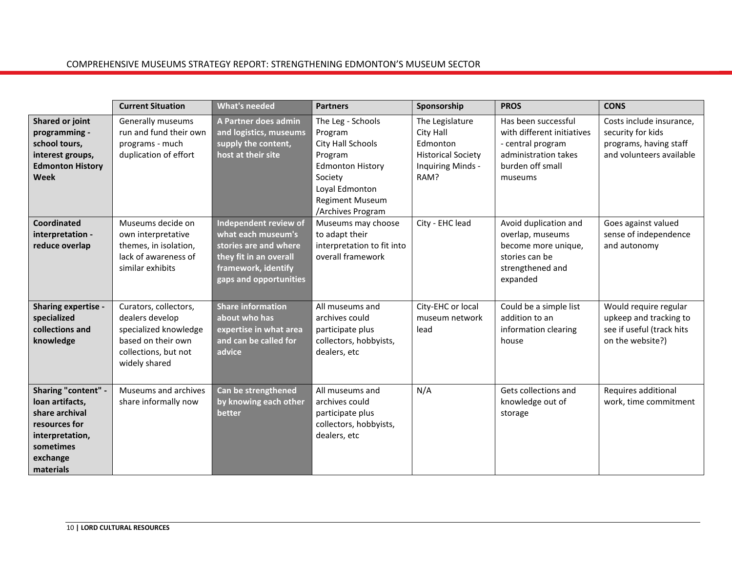|                                                                                                                                    | <b>Current Situation</b>                                                                                                         | <b>What's needed</b>                                                                                                                            | <b>Partners</b>                                                                                                                                                     | Sponsorship                                                                                        | <b>PROS</b>                                                                                                                   | <b>CONS</b>                                                                                         |
|------------------------------------------------------------------------------------------------------------------------------------|----------------------------------------------------------------------------------------------------------------------------------|-------------------------------------------------------------------------------------------------------------------------------------------------|---------------------------------------------------------------------------------------------------------------------------------------------------------------------|----------------------------------------------------------------------------------------------------|-------------------------------------------------------------------------------------------------------------------------------|-----------------------------------------------------------------------------------------------------|
| Shared or joint<br>programming -<br>school tours,<br>interest groups,<br><b>Edmonton History</b><br>Week                           | Generally museums<br>run and fund their own<br>programs - much<br>duplication of effort                                          | A Partner does admin<br>and logistics, museums<br>supply the content,<br>host at their site                                                     | The Leg - Schools<br>Program<br>City Hall Schools<br>Program<br><b>Edmonton History</b><br>Society<br>Loyal Edmonton<br><b>Regiment Museum</b><br>/Archives Program | The Legislature<br>City Hall<br>Edmonton<br><b>Historical Society</b><br>Inquiring Minds -<br>RAM? | Has been successful<br>with different initiatives<br>- central program<br>administration takes<br>burden off small<br>museums | Costs include insurance,<br>security for kids<br>programs, having staff<br>and volunteers available |
| Coordinated<br>interpretation -<br>reduce overlap                                                                                  | Museums decide on<br>own interpretative<br>themes, in isolation,<br>lack of awareness of<br>similar exhibits                     | Independent review of<br>what each museum's<br>stories are and where<br>they fit in an overall<br>framework, identify<br>gaps and opportunities | Museums may choose<br>to adapt their<br>interpretation to fit into<br>overall framework                                                                             | City - EHC lead                                                                                    | Avoid duplication and<br>overlap, museums<br>become more unique,<br>stories can be<br>strengthened and<br>expanded            | Goes against valued<br>sense of independence<br>and autonomy                                        |
| Sharing expertise -<br>specialized<br>collections and<br>knowledge                                                                 | Curators, collectors,<br>dealers develop<br>specialized knowledge<br>based on their own<br>collections, but not<br>widely shared | <b>Share information</b><br>about who has<br>expertise in what area<br>and can be called for<br>advice                                          | All museums and<br>archives could<br>participate plus<br>collectors, hobbyists,<br>dealers, etc                                                                     | City-EHC or local<br>museum network<br>lead                                                        | Could be a simple list<br>addition to an<br>information clearing<br>house                                                     | Would require regular<br>upkeep and tracking to<br>see if useful (track hits<br>on the website?)    |
| Sharing "content" -<br>loan artifacts,<br>share archival<br>resources for<br>interpretation,<br>sometimes<br>exchange<br>materials | Museums and archives<br>share informally now                                                                                     | Can be strengthened<br>by knowing each other<br>better                                                                                          | All museums and<br>archives could<br>participate plus<br>collectors, hobbyists,<br>dealers, etc                                                                     | N/A                                                                                                | Gets collections and<br>knowledge out of<br>storage                                                                           | Requires additional<br>work, time commitment                                                        |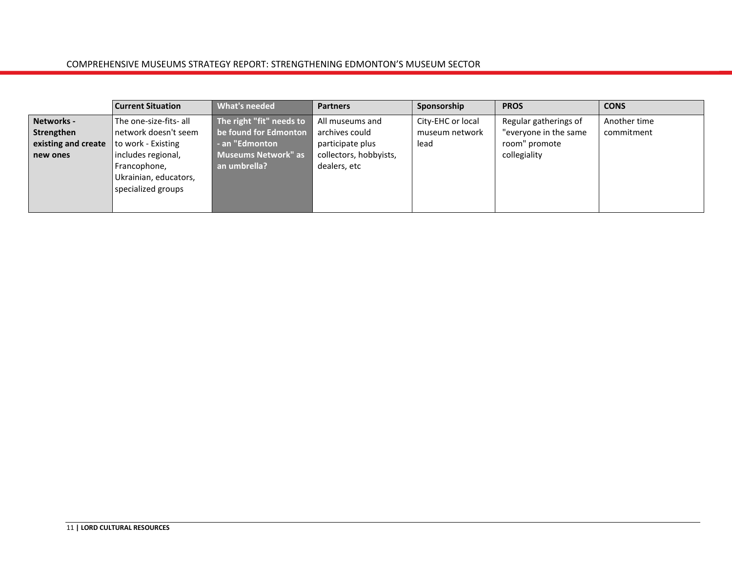|                                                 | <b>Current Situation</b>                                                          | <b>What's needed</b>                                                | <b>Partners</b>                                       | Sponsorship                                 | <b>PROS</b>                                                     | <b>CONS</b>                |
|-------------------------------------------------|-----------------------------------------------------------------------------------|---------------------------------------------------------------------|-------------------------------------------------------|---------------------------------------------|-----------------------------------------------------------------|----------------------------|
| Networks -<br>Strengthen<br>existing and create | l The one-size-fits- all<br>l network doesn't seem<br>to work - Existing          | The right "fit" needs to<br>be found for Edmonton<br>- an "Edmonton | All museums and<br>archives could<br>participate plus | City-EHC or local<br>museum network<br>lead | Regular gatherings of<br>"everyone in the same<br>room" promote | Another time<br>commitment |
| new ones                                        | includes regional,<br>Francophone,<br>Ukrainian, educators,<br>specialized groups | Museums Network" as<br>an umbrella?                                 | collectors, hobbyists,<br>dealers, etc                |                                             | collegiality                                                    |                            |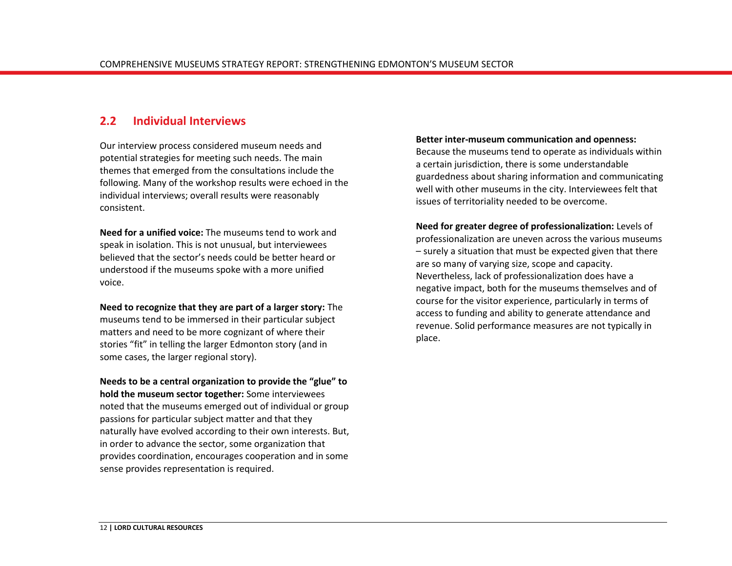## <span id="page-15-0"></span>**2.2 Individual Interviews**

Our interview process considered museum needs and potential strategies for meeting such needs. The main themes that emerged from the consultations include the following. Many of the workshop results were echoed in the individual interviews; overall results were reasonably consistent.

**Need for a unified voice:** The museums tend to work and speak in isolation. This is not unusual, but interviewees believed that the sector's needs could be better heard or understood if the museums spoke with a more unified voice.

**Need to recognize that they are part of a larger story:** The museums tend to be immersed in their particular subject matters and need to be more cognizant of where their stories "fit" in telling the larger Edmonton story (and in some cases, the larger regional story).

**Needs to be a central organization to provide the "glue" to hold the museum sector together:** Some interviewees noted that the museums emerged out of individual or group passions for particular subject matter and that they naturally have evolved according to their own interests. But, in order to advance the sector, some organization that provides coordination, encourages cooperation and in some sense provides representation is required.

#### **Better inter-museum communication and openness:**

Because the museums tend to operate as individuals within a certain jurisdiction, there is some understandable guardedness about sharing information and communicating well with other museums in the city. Interviewees felt that issues of territoriality needed to be overcome.

**Need for greater degree of professionalization:** Levels of professionalization are uneven across the various museums – surely a situation that must be expected given that there are so many of varying size, scope and capacity. Nevertheless, lack of professionalization does have a negative impact, both for the museums themselves and of course for the visitor experience, particularly in terms of access to funding and ability to generate attendance and revenue. Solid performance measures are not typically in place.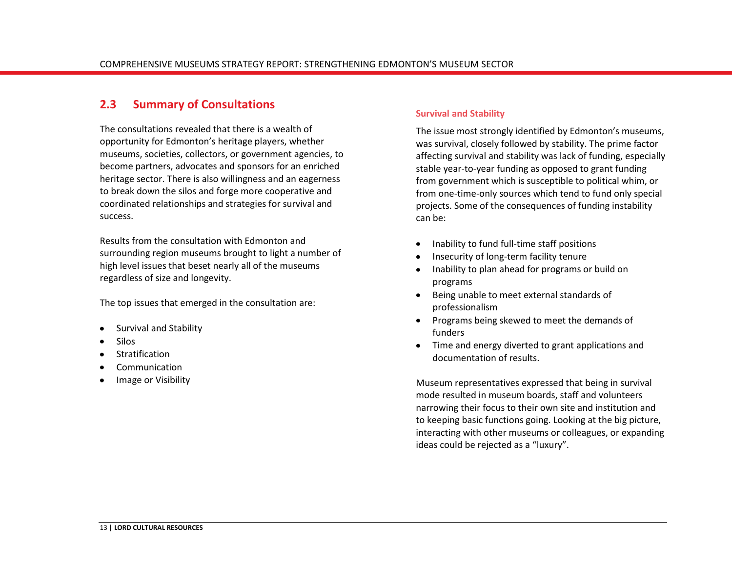### <span id="page-16-0"></span>**2.3 Summary of Consultations**

The consultations revealed that there is a wealth of opportunity for Edmonton's heritage players, whether museums, societies, collectors, or government agencies, to become partners, advocates and sponsors for an enriched heritage sector. There is also willingness and an eagerness to break down the silos and forge more cooperative and coordinated relationships and strategies for survival and success.

Results from the consultation with Edmonton and surrounding region museums brought to light a number of high level issues that beset nearly all of the museums regardless of size and longevity.

The top issues that emerged in the consultation are:

- Survival and Stability
- Silos
- Stratification
- Communication
- Image or Visibility

#### **Survival and Stability**

The issue most strongly identified by Edmonton's museums, was survival, closely followed by stability. The prime factor affecting survival and stability was lack of funding, especially stable year-to-year funding as opposed to grant funding from government which is susceptible to political whim, or from one-time-only sources which tend to fund only special projects. Some of the consequences of funding instability can be:

- Inability to fund full-time staff positions
- Insecurity of long-term facility tenure
- Inability to plan ahead for programs or build on programs
- Being unable to meet external standards of professionalism
- Programs being skewed to meet the demands of funders
- Time and energy diverted to grant applications and documentation of results.

Museum representatives expressed that being in survival mode resulted in museum boards, staff and volunteers narrowing their focus to their own site and institution and to keeping basic functions going. Looking at the big picture, interacting with other museums or colleagues, or expanding ideas could be rejected as a "luxury".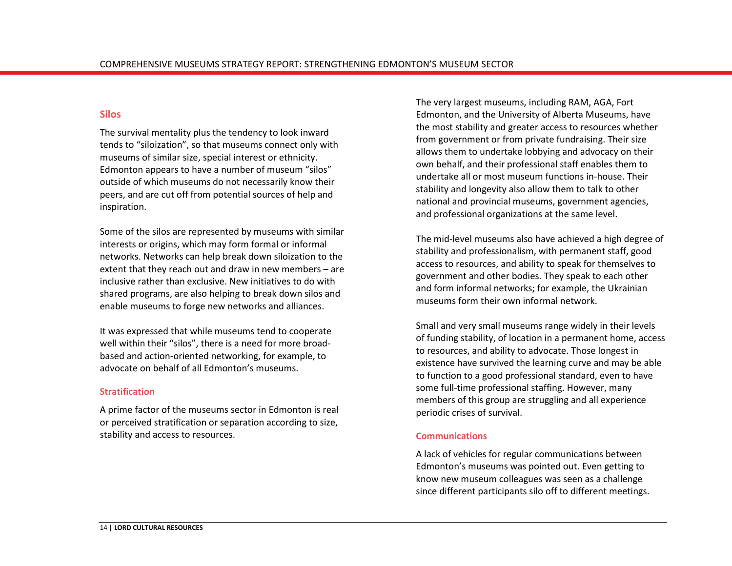#### **Silos**

The survival mentality plus the tendency to look inward tends to "siloization", so that museums connect only with museums of similar size, special interest or ethnicity. Edmonton appears to have a number of museum "silos" outside of which museums do not necessarily know their peers, and are cut off from potential sources of help and inspiration.

Some of the silos are represented by museums with similar interests or origins, which may form formal or informal networks. Networks can help break down siloization to the extent that they reach out and draw in new members – are inclusive rather than exclusive. New initiatives to do with shared programs, are also helping to break down silos and enable museums to forge new networks and alliances.

It was expressed that while museums tend to cooperate well within their "silos", there is a need for more broadbased and action-oriented networking, for example, to advocate on behalf of all Edmonton's museums.

#### **Stratification**

A prime factor of the museums sector in Edmonton is real or perceived stratification or separation according to size, stability and access to resources.

The very largest museums, including RAM, AGA, Fort Edmonton, and the University of Alberta Museums, have the most stability and greater access to resources whether from government or from private fundraising. Their size allows them to undertake lobbying and advocacy on their own behalf, and their professional staff enables them to undertake all or most museum functions in-house. Their stability and longevity also allow them to talk to other national and provincial museums, government agencies, and professional organizations at the same level.

The mid-level museums also have achieved a high degree of stability and professionalism, with permanent staff, good access to resources, and ability to speak for themselves to government and other bodies. They speak to each other and form informal networks; for example, the Ukrainian museums form their own informal network.

Small and very small museums range widely in their levels of funding stability, of location in a permanent home, access to resources, and ability to advocate. Those longest in existence have survived the learning curve and may be able to function to a good professional standard, even to have some full-time professional staffing. However, many members of this group are struggling and all experience periodic crises of survival.

#### **Communications**

A lack of vehicles for regular communications between Edmonton's museums was pointed out. Even getting to know new museum colleagues was seen as a challenge since different participants silo off to different meetings.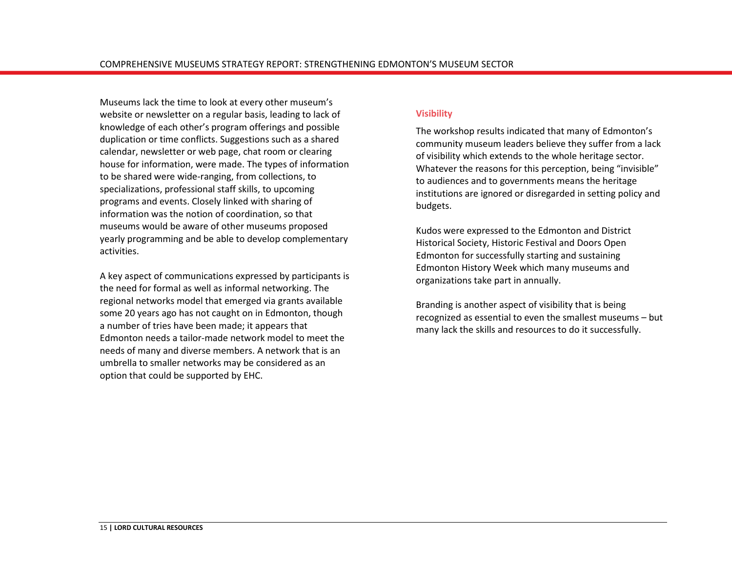Museums lack the time to look at every other museum's website or newsletter on a regular basis, leading to lack of knowledge of each other's program offerings and possible duplication or time conflicts. Suggestions such as a shared calendar, newsletter or web page, chat room or clearing house for information, were made. The types of information to be shared were wide-ranging, from collections, to specializations, professional staff skills, to upcoming programs and events. Closely linked with sharing of information was the notion of coordination, so that museums would be aware of other museums proposed yearly programming and be able to develop complementary activities.

A key aspect of communications expressed by participants is the need for formal as well as informal networking. The regional networks model that emerged via grants available some 20 years ago has not caught on in Edmonton, though a number of tries have been made; it appears that Edmonton needs a tailor-made network model to meet the needs of many and diverse members. A network that is an umbrella to smaller networks may be considered as an option that could be supported by EHC.

#### **Visibility**

The workshop results indicated that many of Edmonton's community museum leaders believe they suffer from a lack of visibility which extends to the whole heritage sector. Whatever the reasons for this perception, being "invisible" to audiences and to governments means the heritage institutions are ignored or disregarded in setting policy and budgets.

Kudos were expressed to the Edmonton and District Historical Society, Historic Festival and Doors Open Edmonton for successfully starting and sustaining Edmonton History Week which many museums and organizations take part in annually.

Branding is another aspect of visibility that is being recognized as essential to even the smallest museums – but many lack the skills and resources to do it successfully.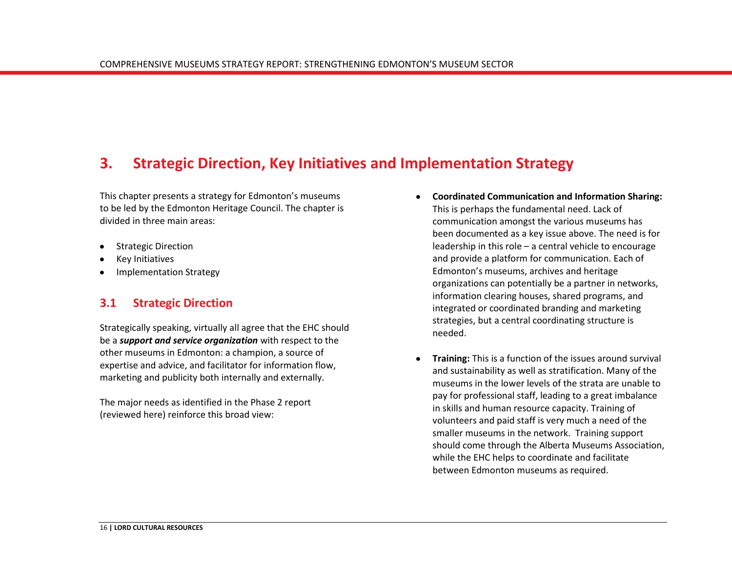## <span id="page-19-0"></span>**3. Strategic Direction, Key Initiatives and Implementation Strategy**

This chapter presents a strategy for Edmonton's museums to be led by the Edmonton Heritage Council. The chapter is divided in three main areas:

- Strategic Direction
- Key Initiatives
- <span id="page-19-1"></span>Implementation Strategy

## **3.1 Strategic Direction**

Strategically speaking, virtually all agree that the EHC should be a *support and service organization* with respect to the other museums in Edmonton: a champion, a source of expertise and advice, and facilitator for information flow, marketing and publicity both internally and externally.

The major needs as identified in the Phase 2 report (reviewed here) reinforce this broad view:

- **Coordinated Communication and Information Sharing:** This is perhaps the fundamental need. Lack of communication amongst the various museums has been documented as a key issue above. The need is for leadership in this role – a central vehicle to encourage and provide a platform for communication. Each of Edmonton's museums, archives and heritage organizations can potentially be a partner in networks, information clearing houses, shared programs, and integrated or coordinated branding and marketing strategies, but a central coordinating structure is needed.
- **Training:** This is a function of the issues around survival and sustainability as well as stratification. Many of the museums in the lower levels of the strata are unable to pay for professional staff, leading to a great imbalance in skills and human resource capacity. Training of volunteers and paid staff is very much a need of the smaller museums in the network. Training support should come through the Alberta Museums Association, while the EHC helps to coordinate and facilitate between Edmonton museums as required.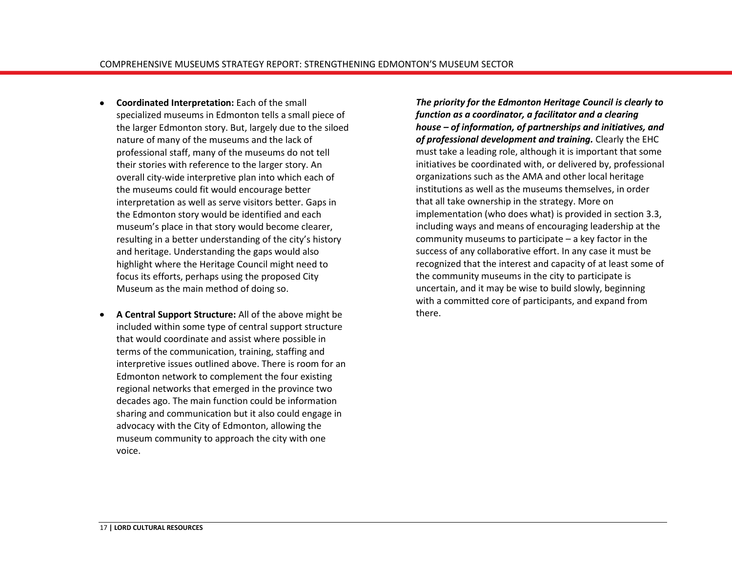- **Coordinated Interpretation:** Each of the small  $\bullet$ specialized museums in Edmonton tells a small piece of the larger Edmonton story. But, largely due to the siloed nature of many of the museums and the lack of professional staff, many of the museums do not tell their stories with reference to the larger story. An overall city-wide interpretive plan into which each of the museums could fit would encourage better interpretation as well as serve visitors better. Gaps in the Edmonton story would be identified and each museum's place in that story would become clearer, resulting in a better understanding of the city's history and heritage. Understanding the gaps would also highlight where the Heritage Council might need to focus its efforts, perhaps using the proposed City Museum as the main method of doing so.
- **A Central Support Structure:** All of the above might be included within some type of central support structure that would coordinate and assist where possible in terms of the communication, training, staffing and interpretive issues outlined above. There is room for an Edmonton network to complement the four existing regional networks that emerged in the province two decades ago. The main function could be information sharing and communication but it also could engage in advocacy with the City of Edmonton, allowing the museum community to approach the city with one voice.

*The priority for the Edmonton Heritage Council is clearly to function as a coordinator, a facilitator and a clearing house – of information, of partnerships and initiatives, and of professional development and training.* Clearly the EHC must take a leading role, although it is important that some initiatives be coordinated with, or delivered by, professional organizations such as the AMA and other local heritage institutions as well as the museums themselves, in order that all take ownership in the strategy. More on implementation (who does what) is provided in section 3.3, including ways and means of encouraging leadership at the community museums to participate – a key factor in the success of any collaborative effort. In any case it must be recognized that the interest and capacity of at least some of the community museums in the city to participate is uncertain, and it may be wise to build slowly, beginning with a committed core of participants, and expand from there.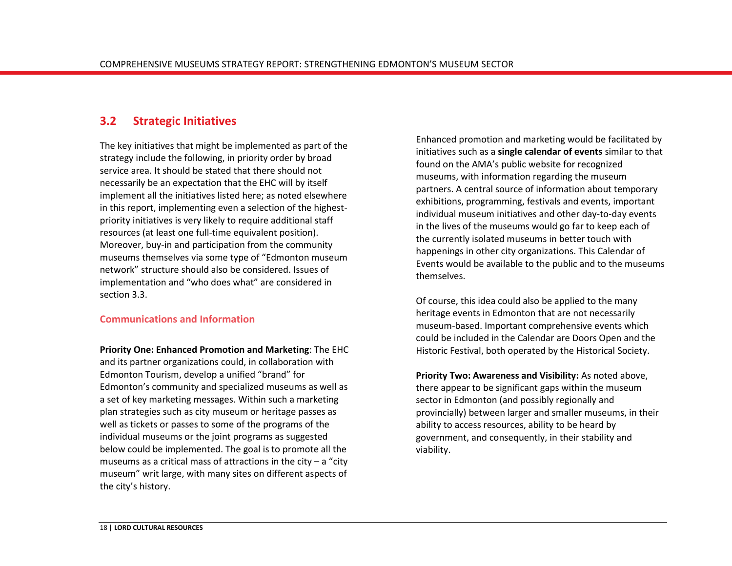## <span id="page-21-0"></span>**3.2 Strategic Initiatives**

The key initiatives that might be implemented as part of the strategy include the following, in priority order by broad service area. It should be stated that there should not necessarily be an expectation that the EHC will by itself implement all the initiatives listed here; as noted elsewhere in this report, implementing even a selection of the highestpriority initiatives is very likely to require additional staff resources (at least one full-time equivalent position). Moreover, buy-in and participation from the community museums themselves via some type of "Edmonton museum network" structure should also be considered. Issues of implementation and "who does what" are considered in section 3.3.

#### **Communications and Information**

**Priority One: Enhanced Promotion and Marketing**: The EHC and its partner organizations could, in collaboration with Edmonton Tourism, develop a unified "brand" for Edmonton's community and specialized museums as well as a set of key marketing messages. Within such a marketing plan strategies such as city museum or heritage passes as well as tickets or passes to some of the programs of the individual museums or the joint programs as suggested below could be implemented. The goal is to promote all the museums as a critical mass of attractions in the city  $-$  a "city museum" writ large, with many sites on different aspects of the city's history.

Enhanced promotion and marketing would be facilitated by initiatives such as a **single calendar of events** similar to that found on the AMA's public website for recognized museums, with information regarding the museum partners. A central source of information about temporary exhibitions, programming, festivals and events, important individual museum initiatives and other day-to-day events in the lives of the museums would go far to keep each of the currently isolated museums in better touch with happenings in other city organizations. This Calendar of Events would be available to the public and to the museums themselves.

Of course, this idea could also be applied to the many heritage events in Edmonton that are not necessarily museum-based. Important comprehensive events which could be included in the Calendar are Doors Open and the Historic Festival, both operated by the Historical Society.

**Priority Two: Awareness and Visibility:** As noted above, there appear to be significant gaps within the museum sector in Edmonton (and possibly regionally and provincially) between larger and smaller museums, in their ability to access resources, ability to be heard by government, and consequently, in their stability and viability.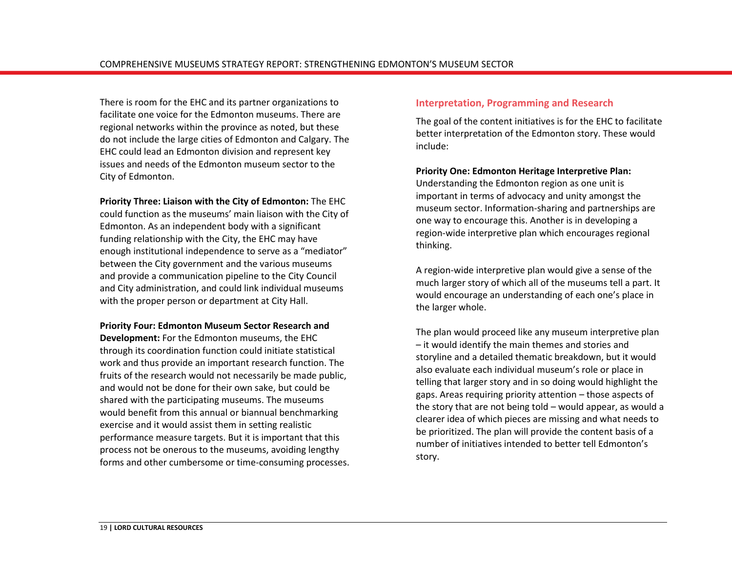There is room for the EHC and its partner organizations to facilitate one voice for the Edmonton museums. There are regional networks within the province as noted, but these do not include the large cities of Edmonton and Calgary. The EHC could lead an Edmonton division and represent key issues and needs of the Edmonton museum sector to the City of Edmonton.

**Priority Three: Liaison with the City of Edmonton:** The EHC could function as the museums' main liaison with the City of Edmonton. As an independent body with a significant funding relationship with the City, the EHC may have enough institutional independence to serve as a "mediator" between the City government and the various museums and provide a communication pipeline to the City Council and City administration, and could link individual museums with the proper person or department at City Hall.

#### **Priority Four: Edmonton Museum Sector Research and**

**Development:** For the Edmonton museums, the EHC through its coordination function could initiate statistical work and thus provide an important research function. The fruits of the research would not necessarily be made public, and would not be done for their own sake, but could be shared with the participating museums. The museums would benefit from this annual or biannual benchmarking exercise and it would assist them in setting realistic performance measure targets. But it is important that this process not be onerous to the museums, avoiding lengthy forms and other cumbersome or time-consuming processes.

#### **Interpretation, Programming and Research**

The goal of the content initiatives is for the EHC to facilitate better interpretation of the Edmonton story. These would include:

#### **Priority One: Edmonton Heritage Interpretive Plan:**

Understanding the Edmonton region as one unit is important in terms of advocacy and unity amongst the museum sector. Information-sharing and partnerships are one way to encourage this. Another is in developing a region-wide interpretive plan which encourages regional thinking.

A region-wide interpretive plan would give a sense of the much larger story of which all of the museums tell a part. It would encourage an understanding of each one's place in the larger whole.

The plan would proceed like any museum interpretive plan – it would identify the main themes and stories and storyline and a detailed thematic breakdown, but it would also evaluate each individual museum's role or place in telling that larger story and in so doing would highlight the gaps. Areas requiring priority attention – those aspects of the story that are not being told – would appear, as would a clearer idea of which pieces are missing and what needs to be prioritized. The plan will provide the content basis of a number of initiatives intended to better tell Edmonton's story.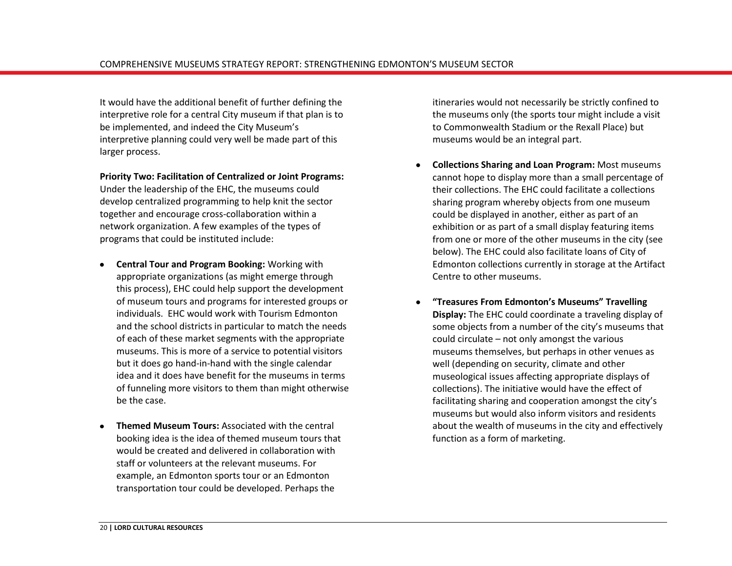It would have the additional benefit of further defining the interpretive role for a central City museum if that plan is to be implemented, and indeed the City Museum's interpretive planning could very well be made part of this larger process.

**Priority Two: Facilitation of Centralized or Joint Programs:**  Under the leadership of the EHC, the museums could develop centralized programming to help knit the sector together and encourage cross-collaboration within a network organization. A few examples of the types of programs that could be instituted include:

- **Central Tour and Program Booking:** Working with appropriate organizations (as might emerge through this process), EHC could help support the development of museum tours and programs for interested groups or individuals. EHC would work with Tourism Edmonton and the school districts in particular to match the needs of each of these market segments with the appropriate museums. This is more of a service to potential visitors but it does go hand-in-hand with the single calendar idea and it does have benefit for the museums in terms of funneling more visitors to them than might otherwise be the case.
- **Themed Museum Tours:** Associated with the central  $\bullet$ booking idea is the idea of themed museum tours that would be created and delivered in collaboration with staff or volunteers at the relevant museums. For example, an Edmonton sports tour or an Edmonton transportation tour could be developed. Perhaps the

itineraries would not necessarily be strictly confined to the museums only (the sports tour might include a visit to Commonwealth Stadium or the Rexall Place) but museums would be an integral part.

- **Collections Sharing and Loan Program:** Most museums cannot hope to display more than a small percentage of their collections. The EHC could facilitate a collections sharing program whereby objects from one museum could be displayed in another, either as part of an exhibition or as part of a small display featuring items from one or more of the other museums in the city (see below). The EHC could also facilitate loans of City of Edmonton collections currently in storage at the Artifact Centre to other museums.
- **"Treasures From Edmonton's Museums" Travelling Display:** The EHC could coordinate a traveling display of some objects from a number of the city's museums that could circulate – not only amongst the various museums themselves, but perhaps in other venues as well (depending on security, climate and other museological issues affecting appropriate displays of collections). The initiative would have the effect of facilitating sharing and cooperation amongst the city's museums but would also inform visitors and residents about the wealth of museums in the city and effectively function as a form of marketing.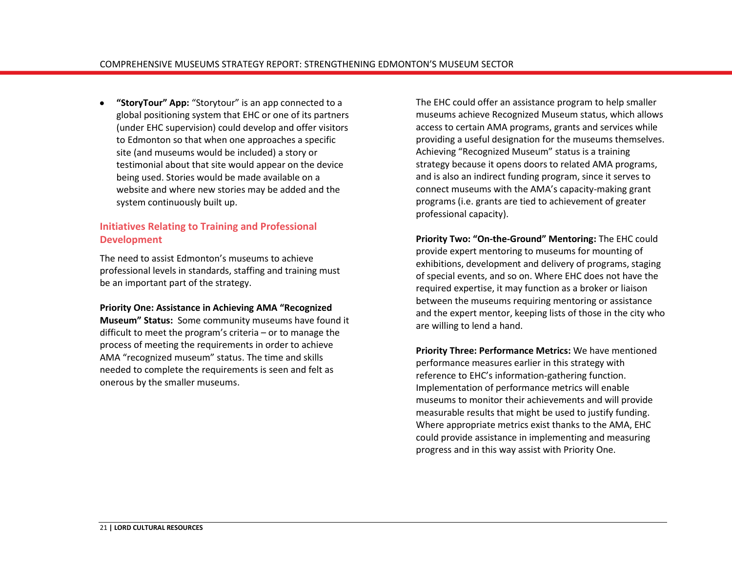**"StoryTour" App:** "Storytour" is an app connected to a global positioning system that EHC or one of its partners (under EHC supervision) could develop and offer visitors to Edmonton so that when one approaches a specific site (and museums would be included) a story or testimonial about that site would appear on the device being used. Stories would be made available on a website and where new stories may be added and the system continuously built up.

### **Initiatives Relating to Training and Professional Development**

The need to assist Edmonton's museums to achieve professional levels in standards, staffing and training must be an important part of the strategy.

#### **Priority One: Assistance in Achieving AMA "Recognized**

**Museum" Status:** Some community museums have found it difficult to meet the program's criteria – or to manage the process of meeting the requirements in order to achieve AMA "recognized museum" status. The time and skills needed to complete the requirements is seen and felt as onerous by the smaller museums.

The EHC could offer an assistance program to help smaller museums achieve Recognized Museum status, which allows access to certain AMA programs, grants and services while providing a useful designation for the museums themselves. Achieving "Recognized Museum" status is a training strategy because it opens doors to related AMA programs, and is also an indirect funding program, since it serves to connect museums with the AMA's capacity-making grant programs (i.e. grants are tied to achievement of greater professional capacity).

**Priority Two: "On-the-Ground" Mentoring:** The EHC could provide expert mentoring to museums for mounting of exhibitions, development and delivery of programs, staging of special events, and so on. Where EHC does not have the required expertise, it may function as a broker or liaison between the museums requiring mentoring or assistance and the expert mentor, keeping lists of those in the city who are willing to lend a hand.

**Priority Three: Performance Metrics:** We have mentioned performance measures earlier in this strategy with reference to EHC's information-gathering function. Implementation of performance metrics will enable museums to monitor their achievements and will provide measurable results that might be used to justify funding. Where appropriate metrics exist thanks to the AMA, EHC could provide assistance in implementing and measuring progress and in this way assist with Priority One.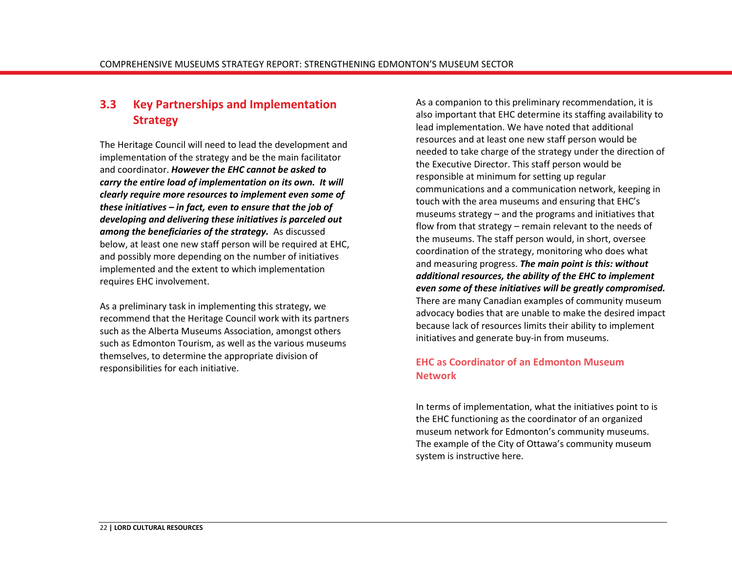## <span id="page-25-0"></span>**3.3 Key Partnerships and Implementation Strategy**

The Heritage Council will need to lead the development and implementation of the strategy and be the main facilitator and coordinator. *However the EHC cannot be asked to carry the entire load of implementation on its own. It will clearly require more resources to implement even some of these initiatives – in fact, even to ensure that the job of developing and delivering these initiatives is parceled out among the beneficiaries of the strategy.* As discussed below, at least one new staff person will be required at EHC, and possibly more depending on the number of initiatives implemented and the extent to which implementation requires EHC involvement.

As a preliminary task in implementing this strategy, we recommend that the Heritage Council work with its partners such as the Alberta Museums Association, amongst others such as Edmonton Tourism, as well as the various museums themselves, to determine the appropriate division of responsibilities for each initiative.

As a companion to this preliminary recommendation, it is also important that EHC determine its staffing availability to lead implementation. We have noted that additional resources and at least one new staff person would be needed to take charge of the strategy under the direction of the Executive Director. This staff person would be responsible at minimum for setting up regular communications and a communication network, keeping in touch with the area museums and ensuring that EHC's museums strategy – and the programs and initiatives that flow from that strategy – remain relevant to the needs of the museums. The staff person would, in short, oversee coordination of the strategy, monitoring who does what and measuring progress. *The main point is this: without additional resources, the ability of the EHC to implement even some of these initiatives will be greatly compromised.*  There are many Canadian examples of community museum advocacy bodies that are unable to make the desired impact because lack of resources limits their ability to implement initiatives and generate buy-in from museums.

#### **EHC as Coordinator of an Edmonton Museum Network**

In terms of implementation, what the initiatives point to is the EHC functioning as the coordinator of an organized museum network for Edmonton's community museums. The example of the City of Ottawa's community museum system is instructive here.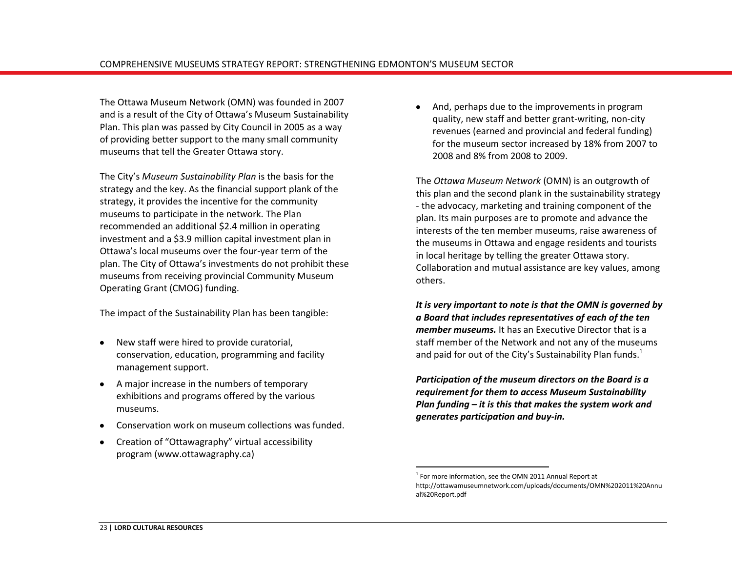The Ottawa Museum Network (OMN) was founded in 2007 and is a result of the City of Ottawa's Museum Sustainability Plan. This plan was passed by City Council in 2005 as a way of providing better support to the many small community museums that tell the Greater Ottawa story.

The City's *Museum Sustainability Plan* is the basis for the strategy and the key. As the financial support plank of the strategy, it provides the incentive for the community museums to participate in the network. The Plan recommended an additional \$2.4 million in operating investment and a \$3.9 million capital investment plan in Ottawa's local museums over the four-year term of the plan. The City of Ottawa's investments do not prohibit these museums from receiving provincial Community Museum Operating Grant (CMOG) funding.

The impact of the Sustainability Plan has been tangible:

- New staff were hired to provide curatorial,  $\bullet$ conservation, education, programming and facility management support.
- A major increase in the numbers of temporary exhibitions and programs offered by the various museums.
- Conservation work on museum collections was funded.
- Creation of "Ottawagraphy" virtual accessibility  $\bullet$ program (www.ottawagraphy.ca)

And, perhaps due to the improvements in program quality, new staff and better grant-writing, non-city revenues (earned and provincial and federal funding) for the museum sector increased by 18% from 2007 to 2008 and 8% from 2008 to 2009.

The *Ottawa Museum Network* (OMN) is an outgrowth of this plan and the second plank in the sustainability strategy - the advocacy, marketing and training component of the plan. Its main purposes are to promote and advance the interests of the ten member museums, raise awareness of the museums in Ottawa and engage residents and tourists in local heritage by telling the greater Ottawa story. Collaboration and mutual assistance are key values, among others.

*It is very important to note is that the OMN is governed by a Board that includes representatives of each of the ten member museums.* It has an Executive Director that is a staff member of the Network and not any of the museums and paid for out of the City's Sustainability Plan funds.<sup>1</sup>

*Participation of the museum directors on the Board is a requirement for them to access Museum Sustainability Plan funding – it is this that makes the system work and generates participation and buy-in.*

 $\overline{a}$ 

 $1$  For more information, see the OMN 2011 Annual Report at [http://ottawamuseumnetwork.com/uploads/documents/OMN%202011%20Annu](http://ottawamuseumnetwork.com/uploads/documents/OMN%202011%20Annual%20Report.pdf) [al%20Report.pdf](http://ottawamuseumnetwork.com/uploads/documents/OMN%202011%20Annual%20Report.pdf)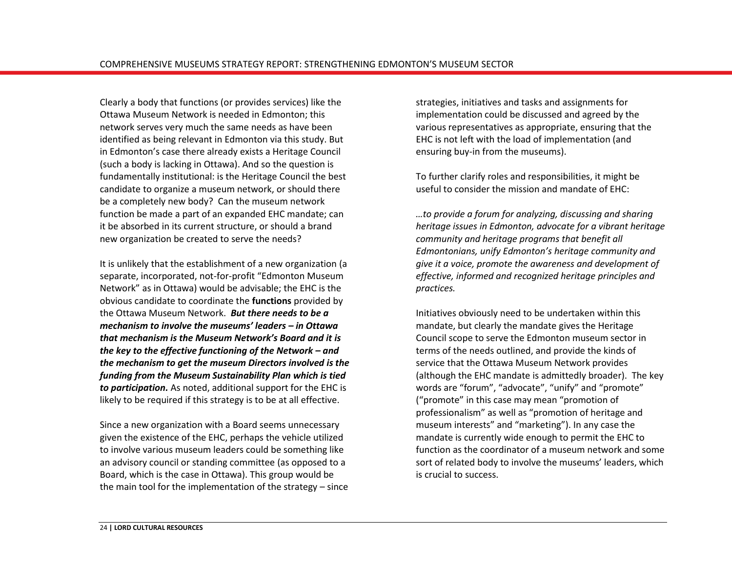Clearly a body that functions (or provides services) like the Ottawa Museum Network is needed in Edmonton; this network serves very much the same needs as have been identified as being relevant in Edmonton via this study. But in Edmonton's case there already exists a Heritage Council (such a body is lacking in Ottawa). And so the question is fundamentally institutional: is the Heritage Council the best candidate to organize a museum network, or should there be a completely new body? Can the museum network function be made a part of an expanded EHC mandate; can it be absorbed in its current structure, or should a brand new organization be created to serve the needs?

It is unlikely that the establishment of a new organization (a separate, incorporated, not-for-profit "Edmonton Museum Network" as in Ottawa) would be advisable; the EHC is the obvious candidate to coordinate the **functions** provided by the Ottawa Museum Network. *But there needs to be a mechanism to involve the museums' leaders – in Ottawa that mechanism is the Museum Network's Board and it is the key to the effective functioning of the Network – and the mechanism to get the museum Directors involved is the funding from the Museum Sustainability Plan which is tied to participation.* As noted, additional support for the EHC is likely to be required if this strategy is to be at all effective.

Since a new organization with a Board seems unnecessary given the existence of the EHC, perhaps the vehicle utilized to involve various museum leaders could be something like an advisory council or standing committee (as opposed to a Board, which is the case in Ottawa). This group would be the main tool for the implementation of the strategy – since strategies, initiatives and tasks and assignments for implementation could be discussed and agreed by the various representatives as appropriate, ensuring that the EHC is not left with the load of implementation (and ensuring buy-in from the museums).

To further clarify roles and responsibilities, it might be useful to consider the mission and mandate of EHC:

*…to provide a forum for analyzing, discussing and sharing heritage issues in Edmonton, advocate for a vibrant heritage community and heritage programs that benefit all Edmontonians, unify Edmonton's heritage community and give it a voice, promote the awareness and development of effective, informed and recognized heritage principles and practices.*

Initiatives obviously need to be undertaken within this mandate, but clearly the mandate gives the Heritage Council scope to serve the Edmonton museum sector in terms of the needs outlined, and provide the kinds of service that the Ottawa Museum Network provides (although the EHC mandate is admittedly broader). The key words are "forum", "advocate", "unify" and "promote" ("promote" in this case may mean "promotion of professionalism" as well as "promotion of heritage and museum interests" and "marketing"). In any case the mandate is currently wide enough to permit the EHC to function as the coordinator of a museum network and some sort of related body to involve the museums' leaders, which is crucial to success.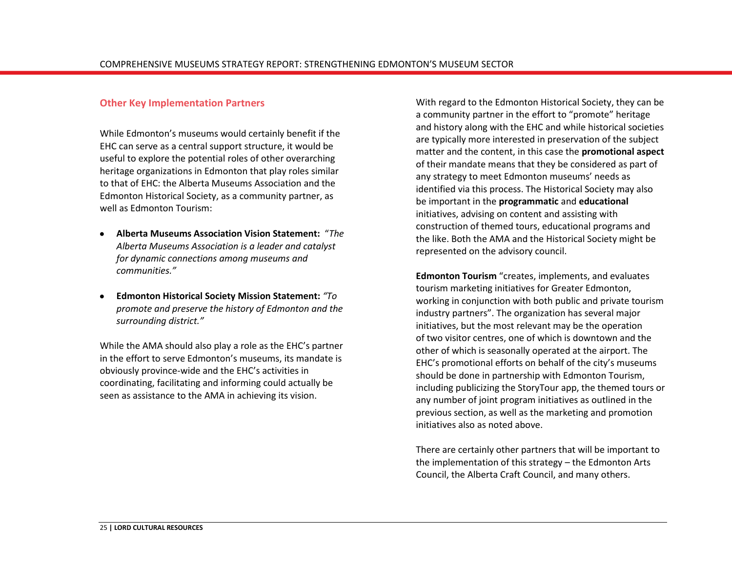#### **Other Key Implementation Partners**

While Edmonton's museums would certainly benefit if the EHC can serve as a central support structure, it would be useful to explore the potential roles of other overarching heritage organizations in Edmonton that play roles similar to that of EHC: the Alberta Museums Association and the Edmonton Historical Society, as a community partner, as well as Edmonton Tourism:

- **Alberta Museums Association Vision Statement:** "*The Alberta Museums Association is a leader and catalyst for dynamic connections among museums and communities."*
- **Edmonton Historical Society Mission Statement:** *"To promote and preserve the history of Edmonton and the surrounding district."*

While the AMA should also play a role as the EHC's partner in the effort to serve Edmonton's museums, its mandate is obviously province-wide and the EHC's activities in coordinating, facilitating and informing could actually be seen as assistance to the AMA in achieving its vision.

With regard to the Edmonton Historical Society, they can be a community partner in the effort to "promote" heritage and history along with the EHC and while historical societies are typically more interested in preservation of the subject matter and the content, in this case the **promotional aspect** of their mandate means that they be considered as part of any strategy to meet Edmonton museums' needs as identified via this process. The Historical Society may also be important in the **programmatic** and **educational**  initiatives, advising on content and assisting with construction of themed tours, educational programs and the like. Both the AMA and the Historical Society might be represented on the advisory council.

**Edmonton Tourism** "creates, implements, and evaluates tourism marketing initiatives for Greater Edmonton, working in conjunction with both public and private tourism industry partners". The organization has several major initiatives, but the most relevant may be the operation of [two visitor centres,](http://www.edmonton.com/for-visitors/visitor-guide-information.aspx) one of which is downtown and the other of which is seasonally operated at the airport. The EHC's promotional efforts on behalf of the city's museums should be done in partnership with Edmonton Tourism, including publicizing the StoryTour app, the themed tours or any number of joint program initiatives as outlined in the previous section, as well as the marketing and promotion initiatives also as noted above.

There are certainly other partners that will be important to the implementation of this strategy – the Edmonton Arts Council, the Alberta Craft Council, and many others.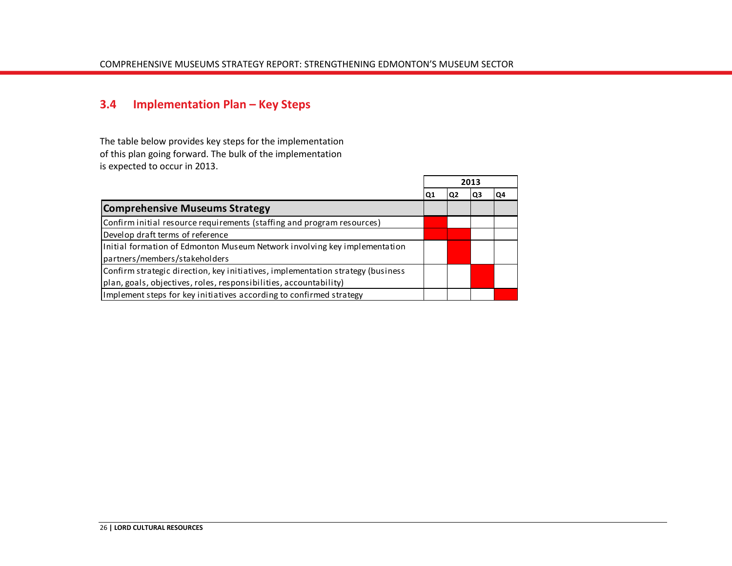## <span id="page-29-0"></span>**3.4 Implementation Plan – Key Steps**

The table below provides key steps for the implementation of this plan going forward. The bulk of the implementation is expected to occur in 2013.

| is expected to occur in 2013.                                                   |    |     |      |    |
|---------------------------------------------------------------------------------|----|-----|------|----|
|                                                                                 |    |     | 2013 |    |
|                                                                                 | Ο1 | IQ2 | Q3   | Q4 |
| <b>Comprehensive Museums Strategy</b>                                           |    |     |      |    |
| Confirm initial resource requirements (staffing and program resources)          |    |     |      |    |
| Develop draft terms of reference                                                |    |     |      |    |
| Initial formation of Edmonton Museum Network involving key implementation       |    |     |      |    |
| partners/members/stakeholders                                                   |    |     |      |    |
| Confirm strategic direction, key initiatives, implementation strategy (business |    |     |      |    |
| plan, goals, objectives, roles, responsibilities, accountability)               |    |     |      |    |
| Implement steps for key initiatives according to confirmed strategy             |    |     |      |    |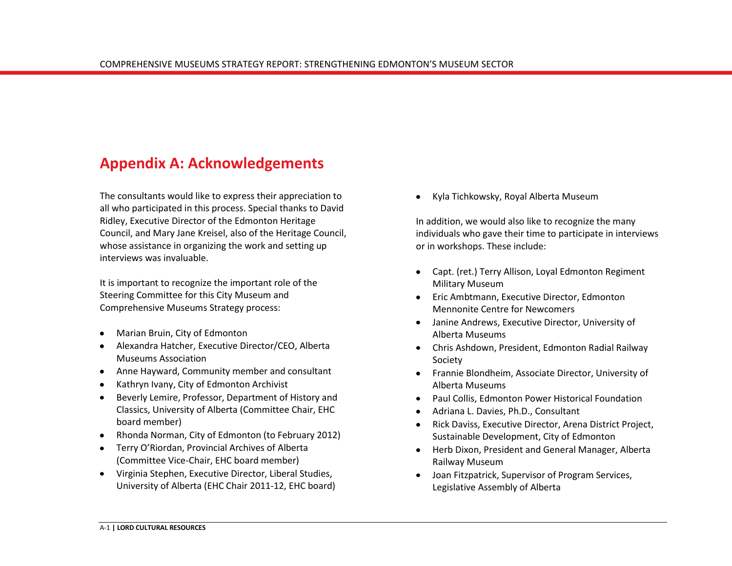## <span id="page-30-0"></span>**Appendix A: Acknowledgements**

The consultants would like to express their appreciation to all who participated in this process. Special thanks to David Ridley, Executive Director of the Edmonton Heritage Council, and Mary Jane Kreisel, also of the Heritage Council, whose assistance in organizing the work and setting up interviews was invaluable.

It is important to recognize the important role of the Steering Committee for this City Museum and Comprehensive Museums Strategy process:

- Marian Bruin, City of Edmonton
- Alexandra Hatcher, Executive Director/CEO, Alberta Museums Association
- Anne Hayward, Community member and consultant
- Kathryn Ivany, City of Edmonton Archivist
- Beverly Lemire, Professor, Department of History and Classics, University of Alberta (Committee Chair, EHC board member)
- Rhonda Norman, City of Edmonton (to February 2012)
- Terry O'Riordan, Provincial Archives of Alberta (Committee Vice-Chair, EHC board member)
- Virginia Stephen, Executive Director, Liberal Studies, University of Alberta (EHC Chair 2011-12, EHC board)

Kyla Tichkowsky, Royal Alberta Museum

In addition, we would also like to recognize the many individuals who gave their time to participate in interviews or in workshops. These include:

- Capt. (ret.) Terry Allison, Loyal Edmonton Regiment Military Museum
- **•** Eric Ambtmann, Executive Director, Edmonton Mennonite Centre for Newcomers
- Janine Andrews, Executive Director, University of Alberta Museums
- Chris Ashdown, President, Edmonton Radial Railway Society
- Frannie Blondheim, Associate Director, University of Alberta Museums
- Paul Collis, Edmonton Power Historical Foundation
- Adriana L. Davies, Ph.D., Consultant  $\bullet$
- Rick Daviss, Executive Director, Arena District Project, Sustainable Development, City of Edmonton
- Herb Dixon, President and General Manager, Alberta Railway Museum
- Joan Fitzpatrick, Supervisor of Program Services, Legislative Assembly of Alberta